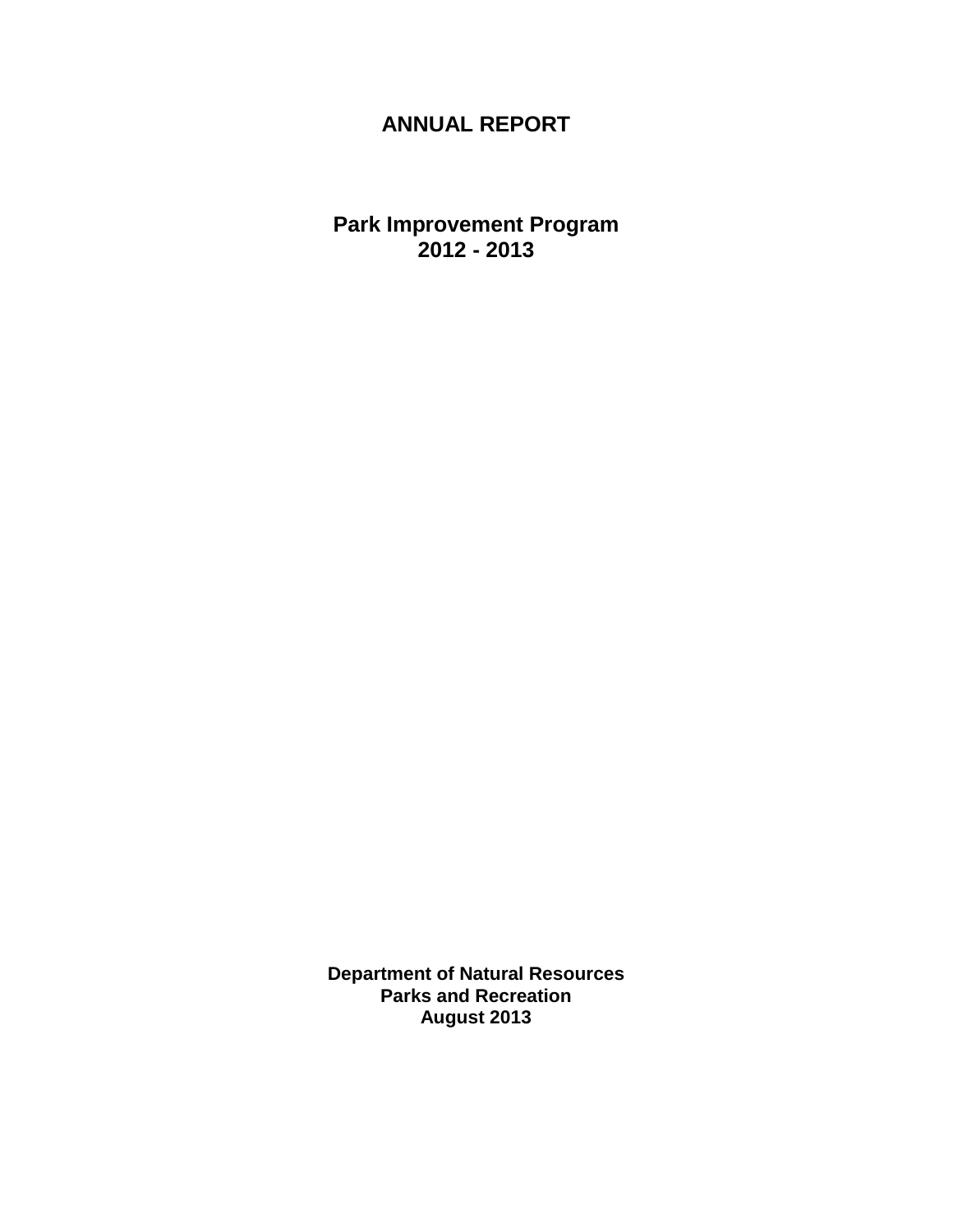# **ANNUAL REPORT**

**Park Improvement Program 2012 - 2013**

**Department of Natural Resources Parks and Recreation August 2013**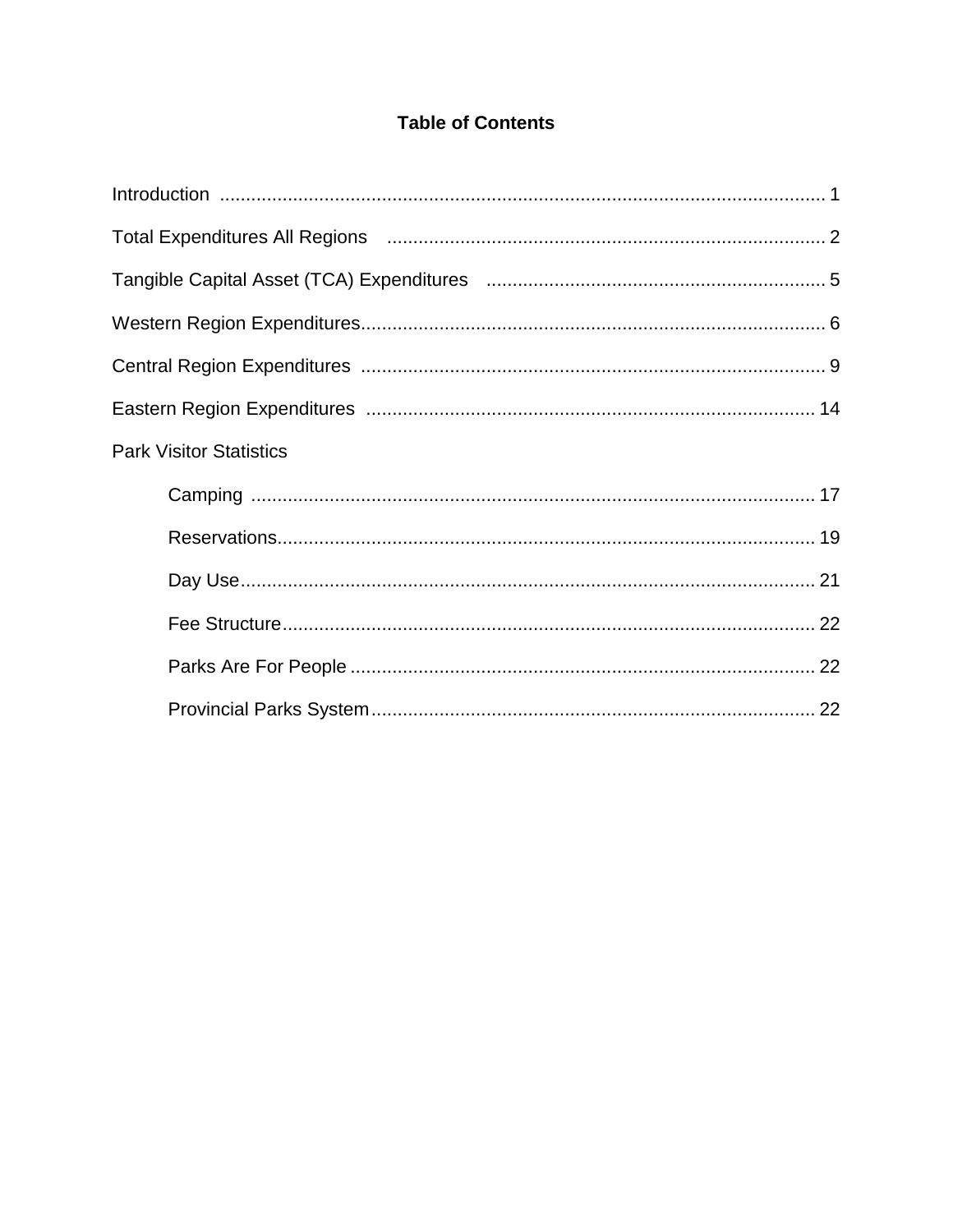## **Table of Contents**

| Total Expenditures All Regions (and according to the control of the 2 |  |
|-----------------------------------------------------------------------|--|
|                                                                       |  |
|                                                                       |  |
|                                                                       |  |
|                                                                       |  |
| <b>Park Visitor Statistics</b>                                        |  |
|                                                                       |  |
|                                                                       |  |
|                                                                       |  |
|                                                                       |  |
|                                                                       |  |
|                                                                       |  |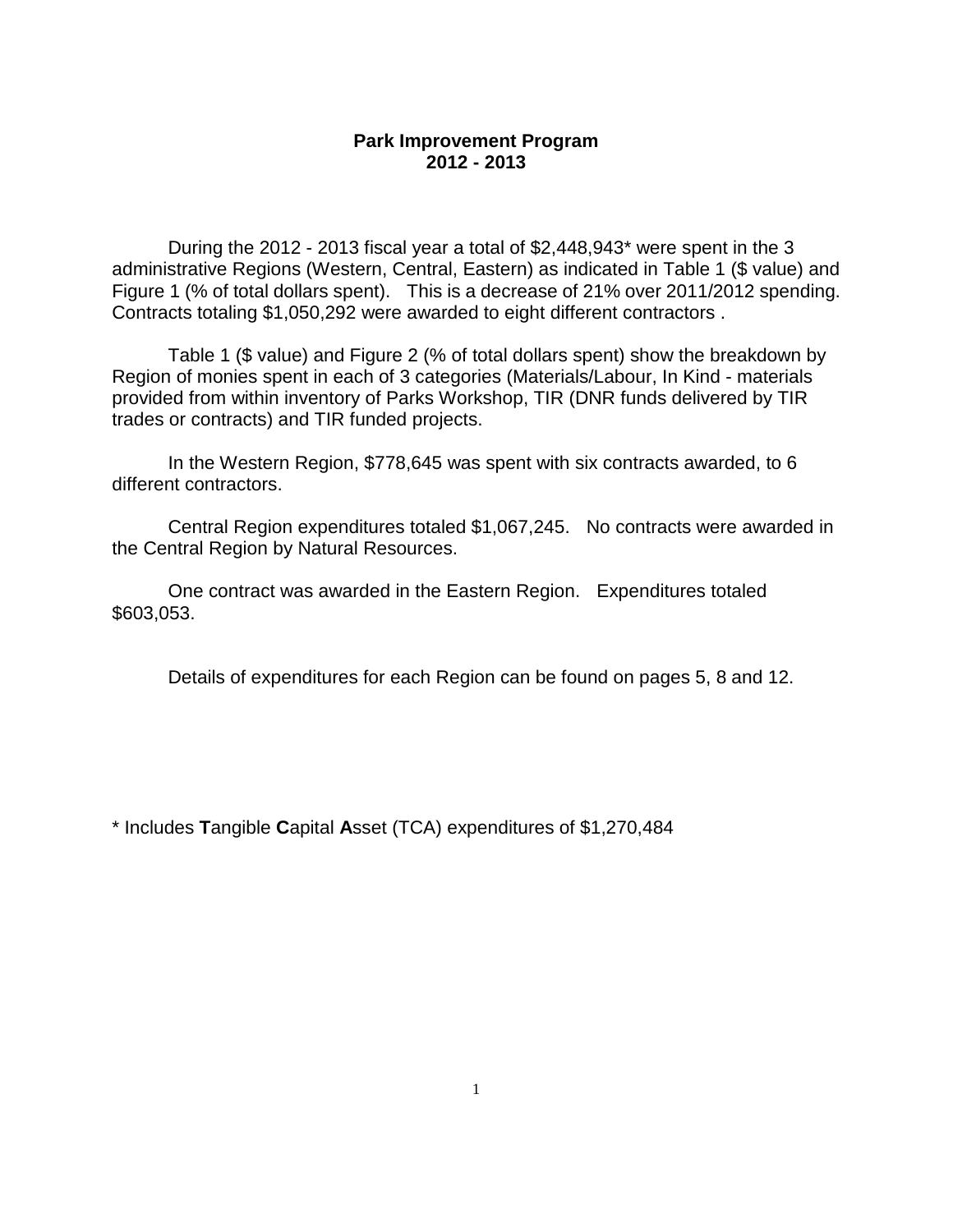#### **Park Improvement Program 2012 - 2013**

During the 2012 - 2013 fiscal year a total of \$2,448,943\* were spent in the 3 administrative Regions (Western, Central, Eastern) as indicated in Table 1 (\$ value) and Figure 1 (% of total dollars spent). This is a decrease of 21% over 2011/2012 spending. Contracts totaling \$1,050,292 were awarded to eight different contractors .

Table 1 (\$ value) and Figure 2 (% of total dollars spent) show the breakdown by Region of monies spent in each of 3 categories (Materials/Labour, In Kind - materials provided from within inventory of Parks Workshop, TIR (DNR funds delivered by TIR trades or contracts) and TIR funded projects.

In the Western Region, \$778,645 was spent with six contracts awarded, to 6 different contractors.

Central Region expenditures totaled \$1,067,245. No contracts were awarded in the Central Region by Natural Resources.

One contract was awarded in the Eastern Region. Expenditures totaled \$603,053.

Details of expenditures for each Region can be found on pages 5, 8 and 12.

\* Includes **T**angible **C**apital **A**sset (TCA) expenditures of \$1,270,484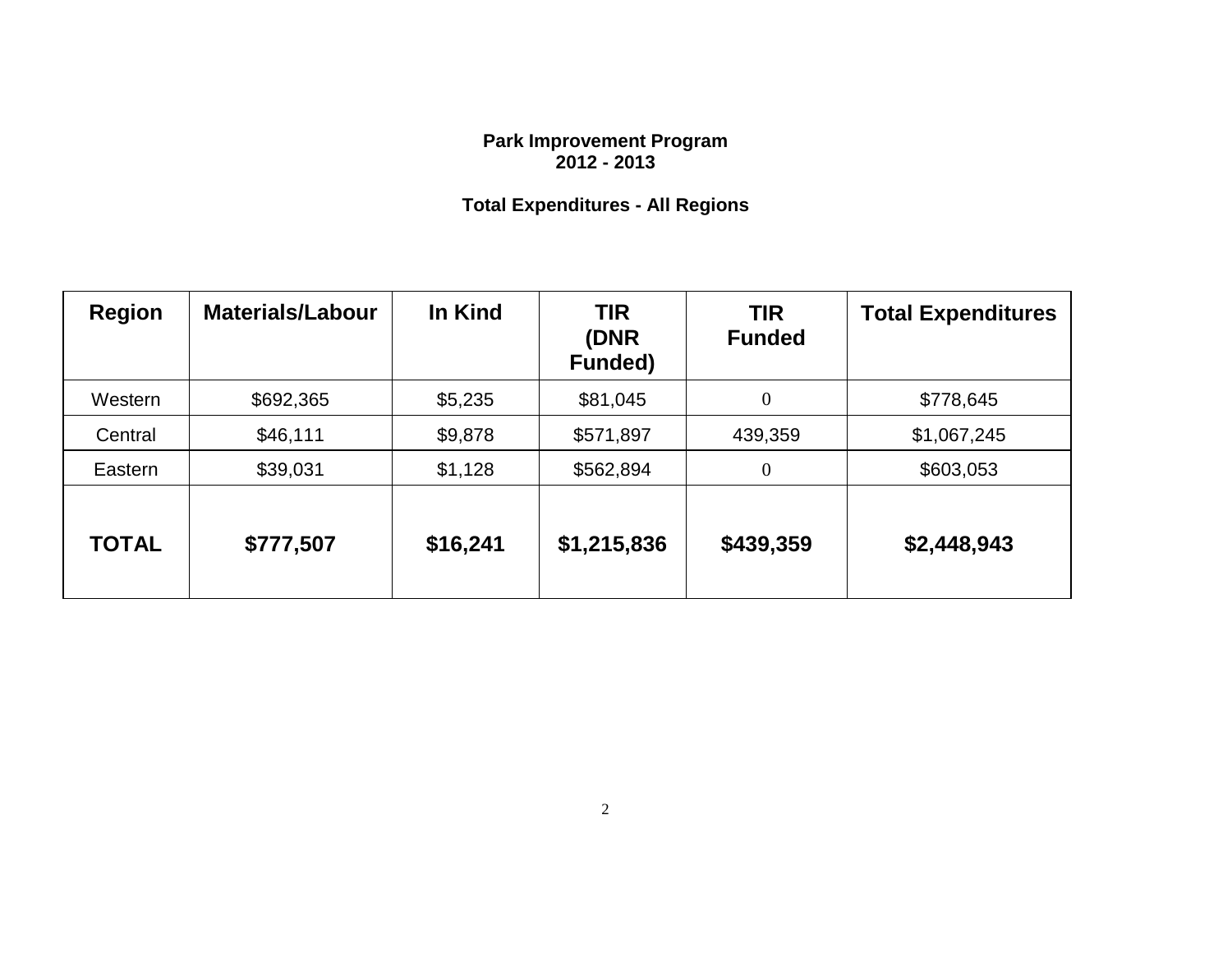#### **Park Improvement Program 2012 - 2013**

# **Total Expenditures - All Regions**

| <b>Region</b> | <b>Materials/Labour</b> | In Kind  | <b>TIR</b><br>(DNR<br><b>Funded)</b> | <b>TIR</b><br><b>Funded</b> | <b>Total Expenditures</b> |
|---------------|-------------------------|----------|--------------------------------------|-----------------------------|---------------------------|
| Western       | \$692,365               | \$5,235  | \$81,045                             | $\overline{0}$              | \$778,645                 |
| Central       | \$46,111                | \$9,878  | \$571,897                            | 439,359                     | \$1,067,245               |
| Eastern       | \$39,031                | \$1,128  | \$562,894                            | $\overline{0}$              | \$603,053                 |
| <b>TOTAL</b>  | \$777,507               | \$16,241 | \$1,215,836                          | \$439,359                   | \$2,448,943               |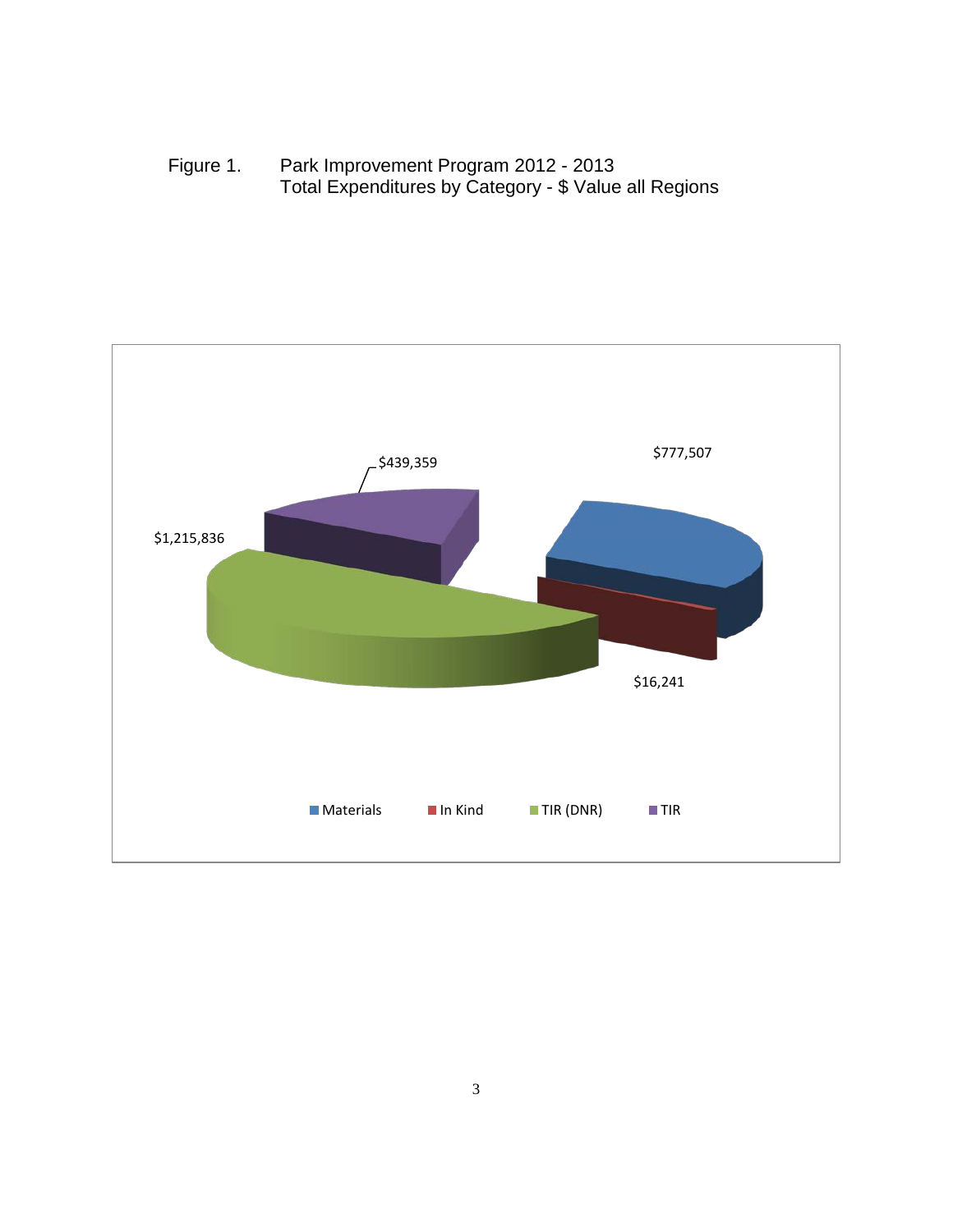Figure 1. Park Improvement Program 2012 - 2013 Total Expenditures by Category - \$ Value all Regions

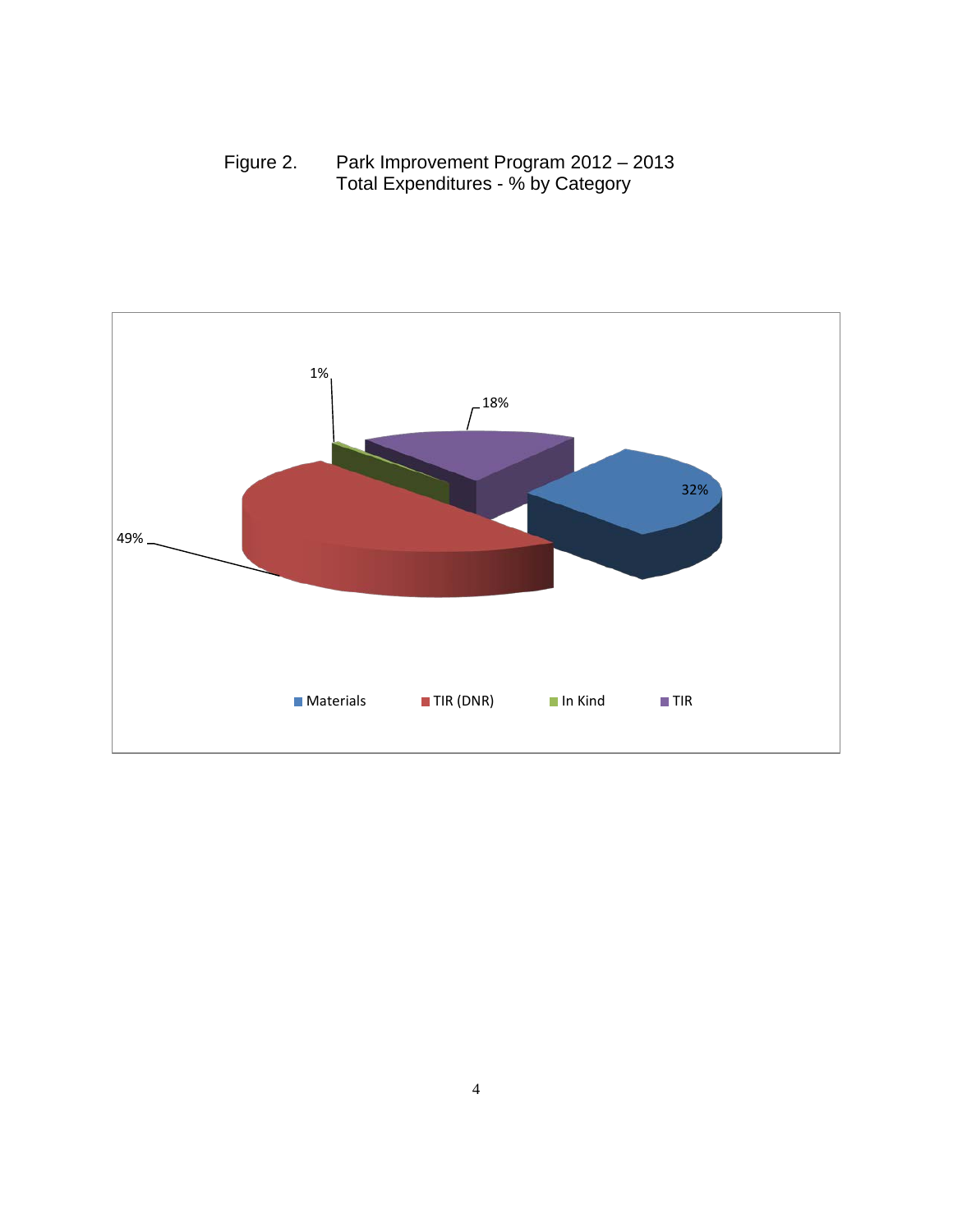Figure 2. Park Improvement Program 2012 – 2013 Total Expenditures - % by Category

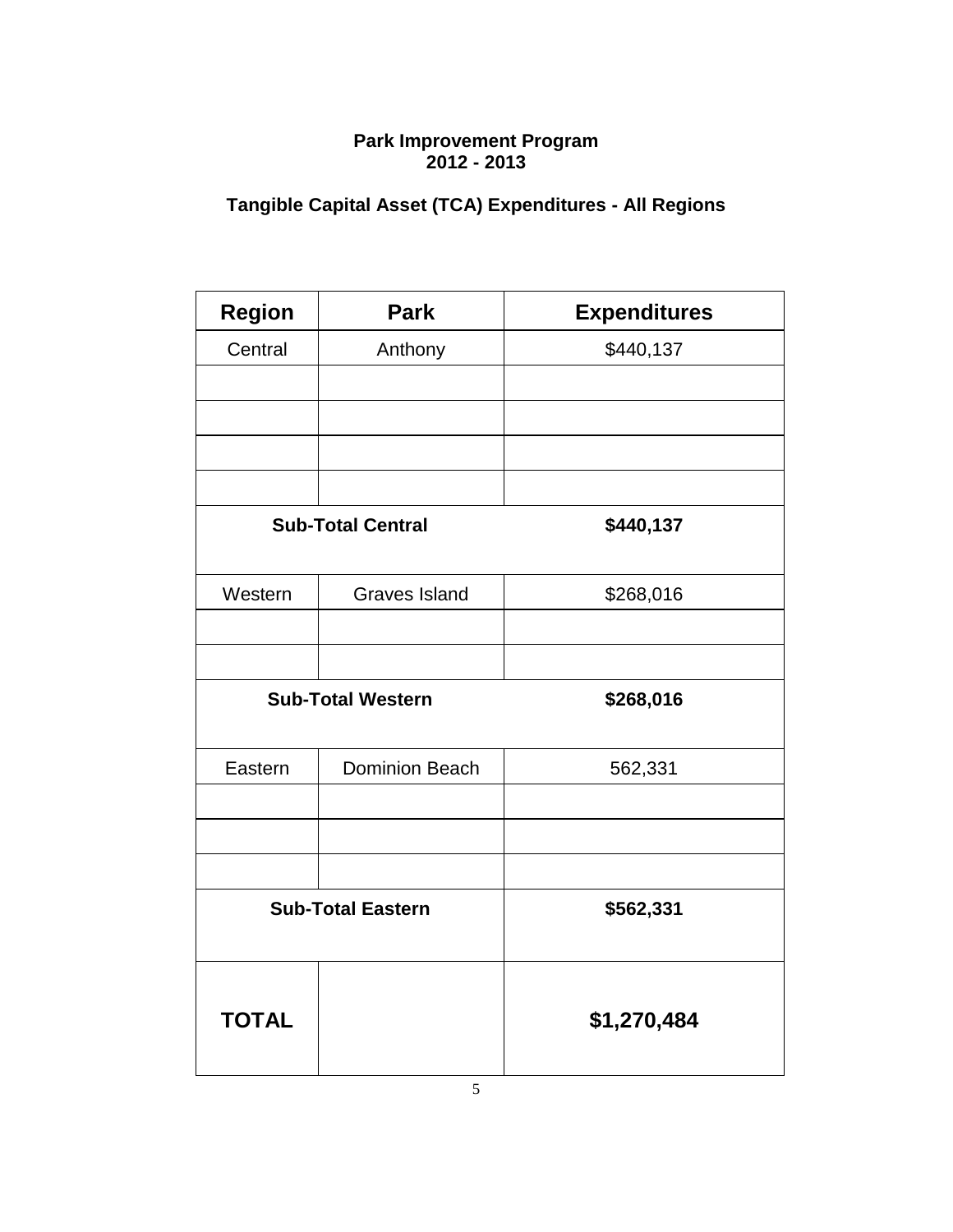#### **Park Improvement Program 2012 - 2013**

# **Tangible Capital Asset (TCA) Expenditures - All Regions**

| <b>Region</b> | <b>Park</b>              | <b>Expenditures</b> |
|---------------|--------------------------|---------------------|
| Central       | Anthony                  | \$440,137           |
|               |                          |                     |
|               |                          |                     |
|               |                          |                     |
|               |                          |                     |
|               | <b>Sub-Total Central</b> | \$440,137           |
| Western       | <b>Graves Island</b>     | \$268,016           |
|               |                          |                     |
|               |                          |                     |
|               | <b>Sub-Total Western</b> | \$268,016           |
| Eastern       | <b>Dominion Beach</b>    | 562,331             |
|               |                          |                     |
|               |                          |                     |
|               |                          |                     |
|               | <b>Sub-Total Eastern</b> | \$562,331           |
|               |                          |                     |
| <b>TOTAL</b>  |                          | \$1,270,484         |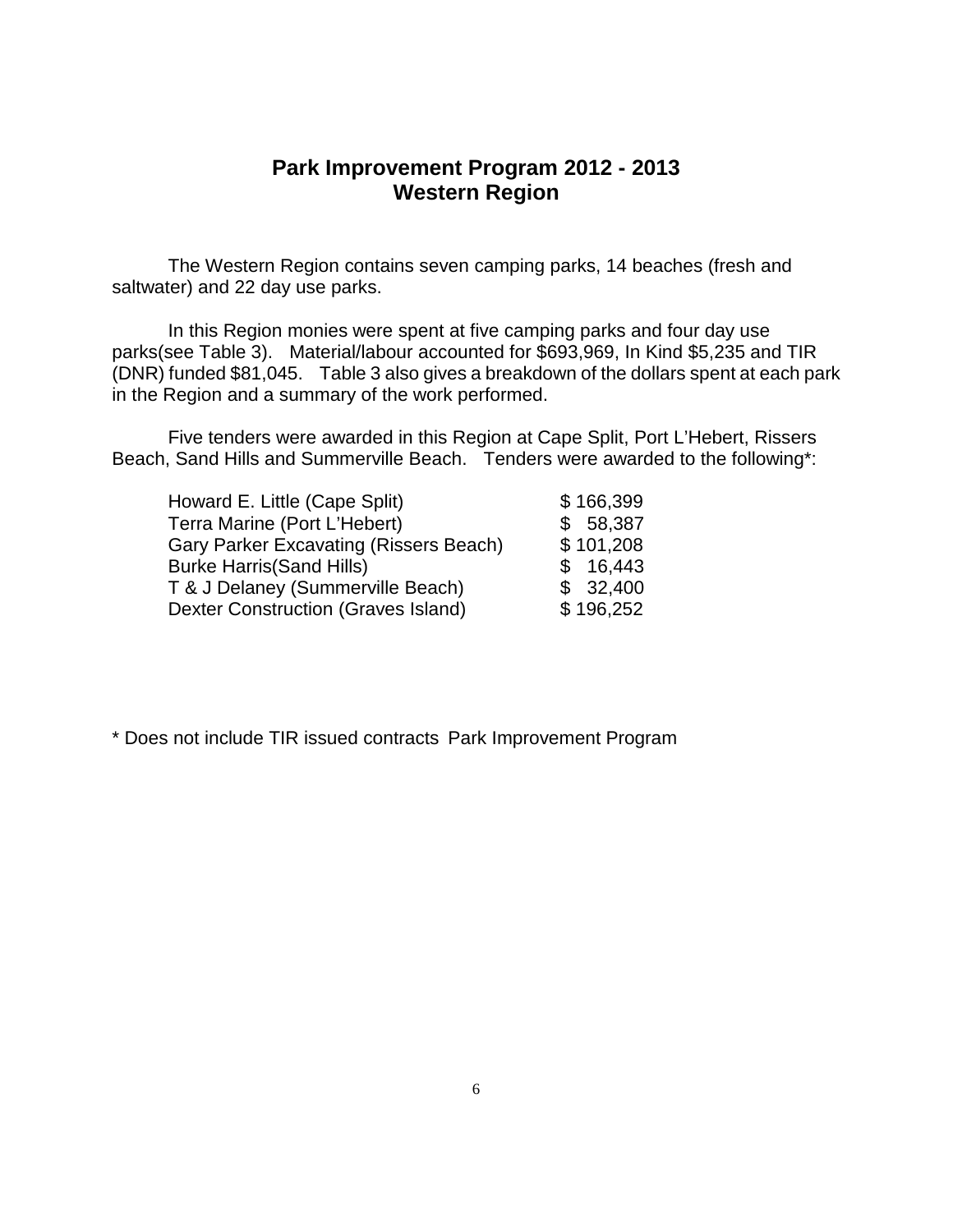### **Park Improvement Program 2012 - 2013 Western Region**

The Western Region contains seven camping parks, 14 beaches (fresh and saltwater) and 22 day use parks.

In this Region monies were spent at five camping parks and four day use parks(see Table 3). Material/labour accounted for \$693,969, In Kind \$5,235 and TIR (DNR) funded \$81,045. Table 3 also gives a breakdown of the dollars spent at each park in the Region and a summary of the work performed.

Five tenders were awarded in this Region at Cape Split, Port L'Hebert, Rissers Beach, Sand Hills and Summerville Beach. Tenders were awarded to the following\*:

| Howard E. Little (Cape Split)          | \$166,399 |
|----------------------------------------|-----------|
| Terra Marine (Port L'Hebert)           | \$58,387  |
| Gary Parker Excavating (Rissers Beach) | \$101,208 |
| <b>Burke Harris (Sand Hills)</b>       | \$16,443  |
| T & J Delaney (Summerville Beach)      | \$32,400  |
| Dexter Construction (Graves Island)    | \$196,252 |

\* Does not include TIR issued contracts Park Improvement Program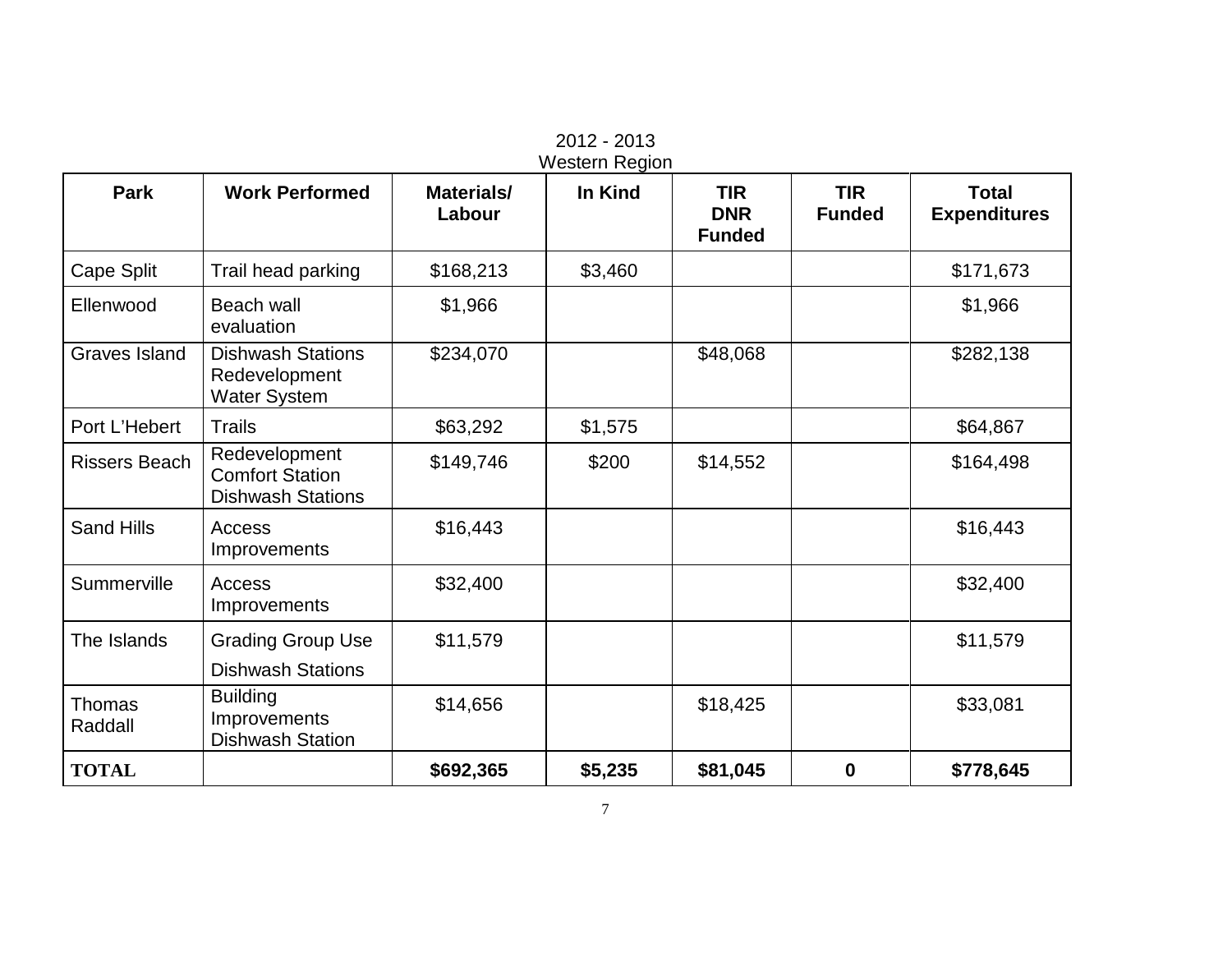| <b>Park</b><br><b>Work Performed</b><br>In Kind<br><b>TIR</b><br><b>TIR</b><br>Materials/ |                                                                     |           |         |                             |               |                                     |  |  |  |
|-------------------------------------------------------------------------------------------|---------------------------------------------------------------------|-----------|---------|-----------------------------|---------------|-------------------------------------|--|--|--|
|                                                                                           |                                                                     | Labour    |         | <b>DNR</b><br><b>Funded</b> | <b>Funded</b> | <b>Total</b><br><b>Expenditures</b> |  |  |  |
| Cape Split                                                                                | Trail head parking                                                  | \$168,213 | \$3,460 |                             |               | \$171,673                           |  |  |  |
| Ellenwood                                                                                 | <b>Beach wall</b><br>evaluation                                     | \$1,966   |         |                             |               | \$1,966                             |  |  |  |
| <b>Graves Island</b>                                                                      | <b>Dishwash Stations</b><br>Redevelopment<br><b>Water System</b>    | \$234,070 |         | \$48,068                    |               | \$282,138                           |  |  |  |
| Port L'Hebert                                                                             | <b>Trails</b>                                                       | \$63,292  | \$1,575 |                             |               | \$64,867                            |  |  |  |
| <b>Rissers Beach</b>                                                                      | Redevelopment<br><b>Comfort Station</b><br><b>Dishwash Stations</b> | \$149,746 | \$200   | \$14,552                    |               | \$164,498                           |  |  |  |
| <b>Sand Hills</b>                                                                         | Access<br>Improvements                                              | \$16,443  |         |                             |               | \$16,443                            |  |  |  |
| Summerville                                                                               | Access<br>Improvements                                              | \$32,400  |         |                             |               | \$32,400                            |  |  |  |
| The Islands                                                                               | <b>Grading Group Use</b><br><b>Dishwash Stations</b>                | \$11,579  |         |                             |               | \$11,579                            |  |  |  |
| Thomas<br>Raddall                                                                         | <b>Building</b><br>Improvements<br><b>Dishwash Station</b>          | \$14,656  |         | \$18,425                    |               | \$33,081                            |  |  |  |
| <b>TOTAL</b>                                                                              |                                                                     | \$692,365 | \$5,235 | \$81,045                    | 0             | \$778,645                           |  |  |  |

2012 - 2013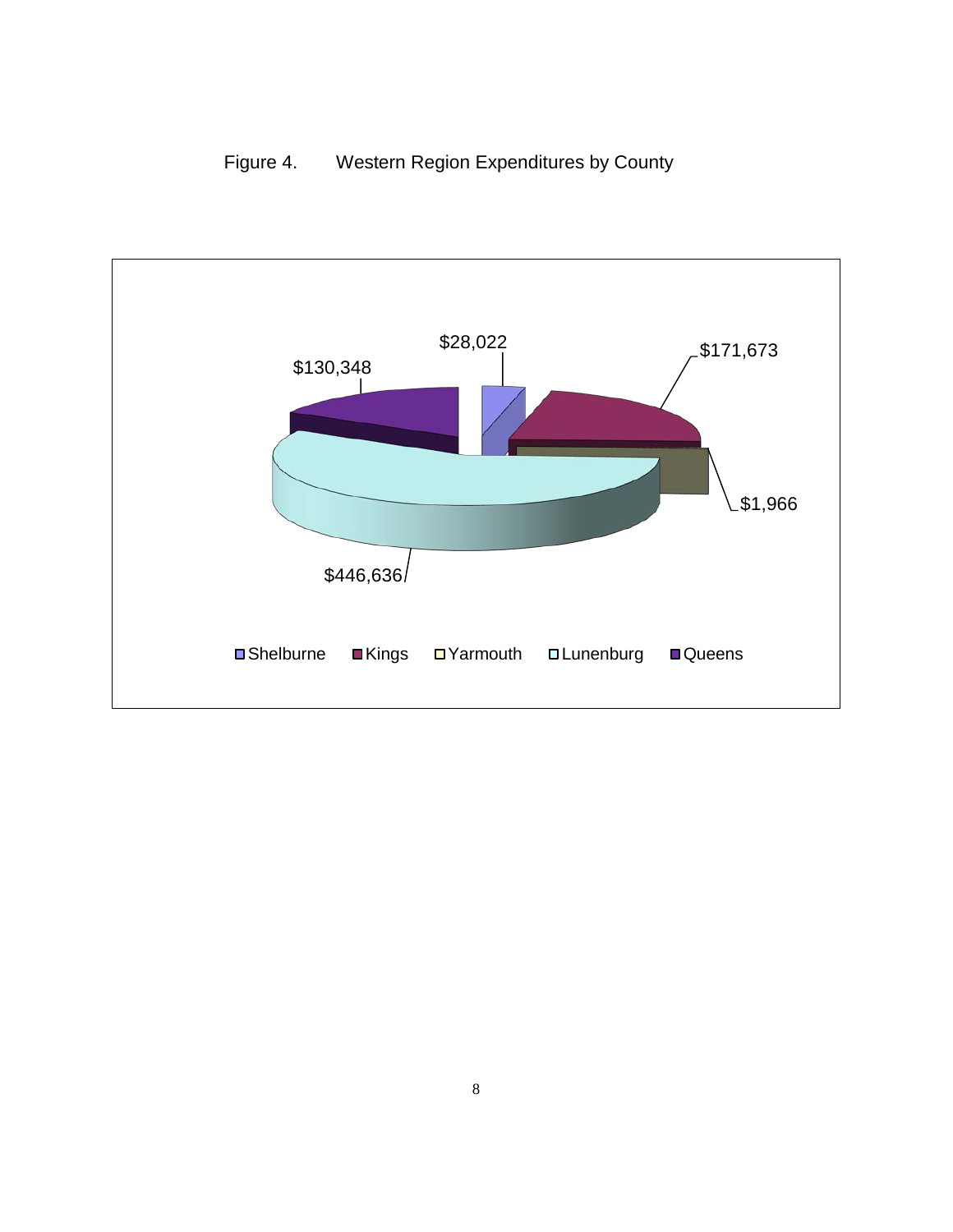Figure 4. Western Region Expenditures by County

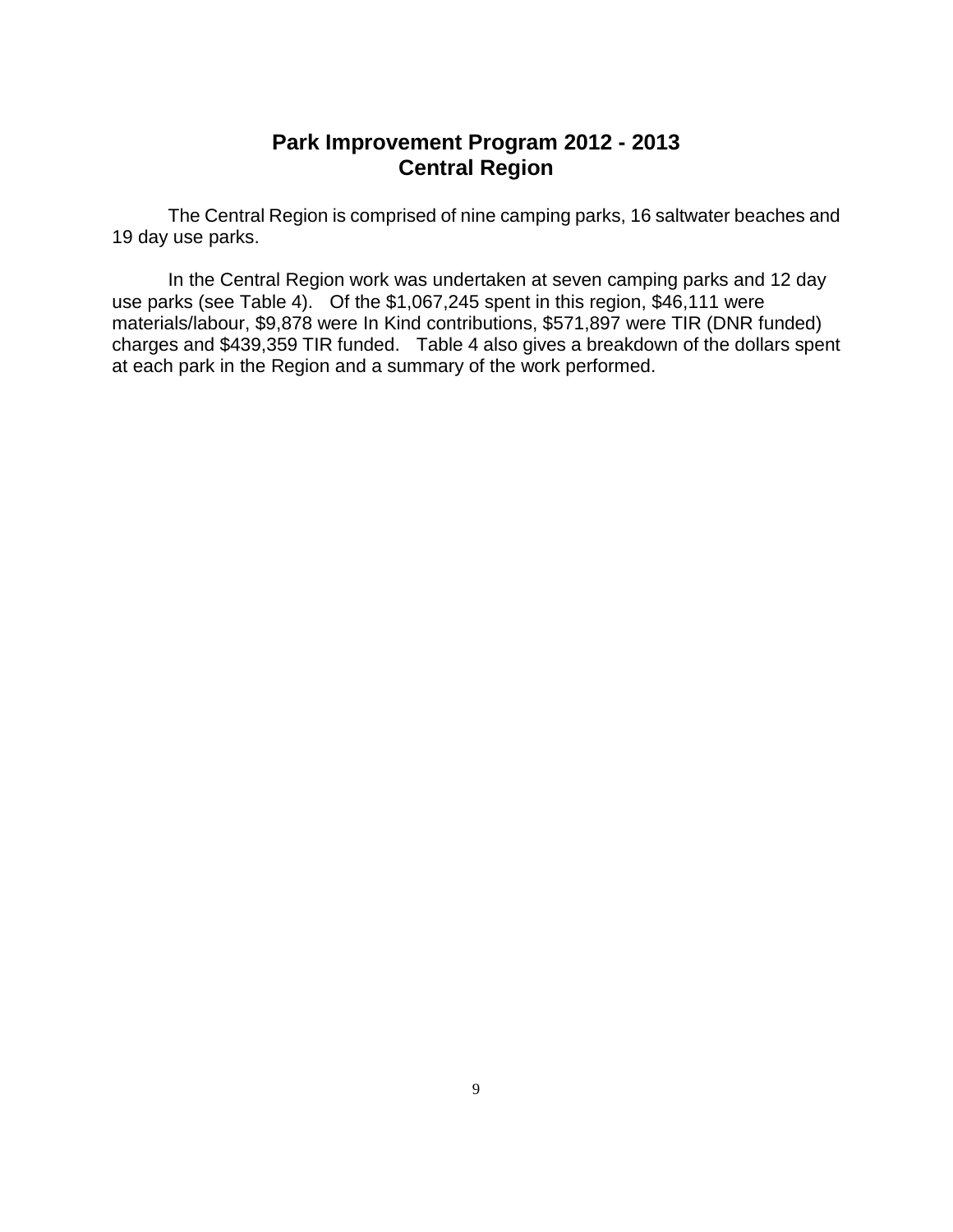### **Park Improvement Program 2012 - 2013 Central Region**

The Central Region is comprised of nine camping parks, 16 saltwater beaches and 19 day use parks.

In the Central Region work was undertaken at seven camping parks and 12 day use parks (see Table 4). Of the \$1,067,245 spent in this region, \$46,111 were materials/labour, \$9,878 were In Kind contributions, \$571,897 were TIR (DNR funded) charges and \$439,359 TIR funded. Table 4 also gives a breakdown of the dollars spent at each park in the Region and a summary of the work performed.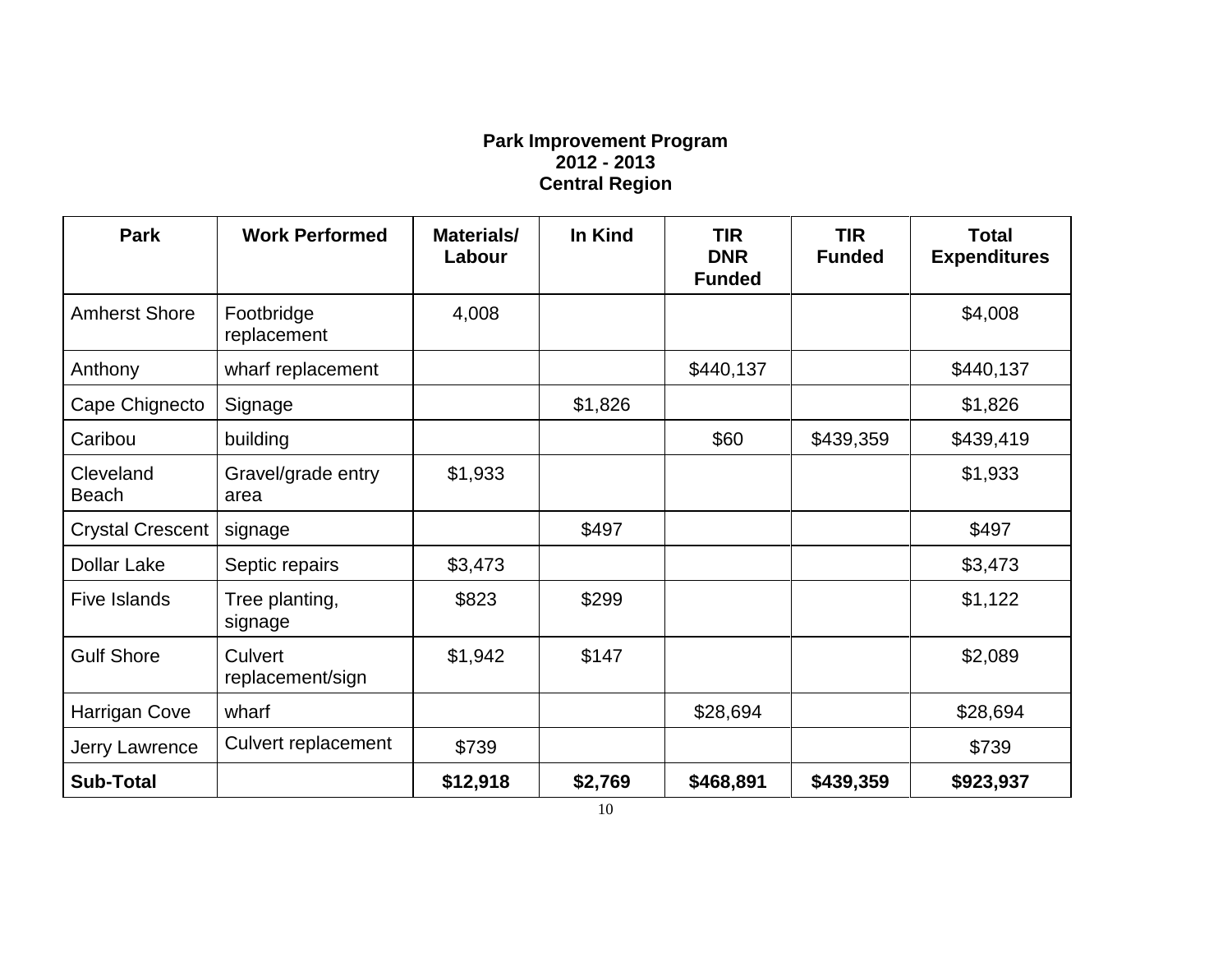#### **Park Improvement Program 2012 - 2013 Central Region**

| <b>Park</b>               | <b>Work Performed</b>       | Materials/<br>Labour | In Kind | <b>TIR</b><br><b>DNR</b><br><b>Funded</b> | <b>TIR</b><br><b>Funded</b> | <b>Total</b><br><b>Expenditures</b> |
|---------------------------|-----------------------------|----------------------|---------|-------------------------------------------|-----------------------------|-------------------------------------|
| <b>Amherst Shore</b>      | Footbridge<br>replacement   | 4,008                |         |                                           |                             | \$4,008                             |
| Anthony                   | wharf replacement           |                      |         | \$440,137                                 |                             | \$440,137                           |
| Cape Chignecto            | Signage                     |                      | \$1,826 |                                           |                             | \$1,826                             |
| Caribou                   | building                    |                      |         | \$60                                      | \$439,359                   | \$439,419                           |
| Cleveland<br><b>Beach</b> | Gravel/grade entry<br>area  | \$1,933              |         |                                           |                             | \$1,933                             |
| <b>Crystal Crescent</b>   | signage                     |                      | \$497   |                                           |                             | \$497                               |
| <b>Dollar Lake</b>        | Septic repairs              | \$3,473              |         |                                           |                             | \$3,473                             |
| <b>Five Islands</b>       | Tree planting,<br>signage   | \$823                | \$299   |                                           |                             | \$1,122                             |
| <b>Gulf Shore</b>         | Culvert<br>replacement/sign | \$1,942              | \$147   |                                           |                             | \$2,089                             |
| Harrigan Cove             | wharf                       |                      |         | \$28,694                                  |                             | \$28,694                            |
| Jerry Lawrence            | <b>Culvert replacement</b>  | \$739                |         |                                           |                             | \$739                               |
| <b>Sub-Total</b>          |                             | \$12,918             | \$2,769 | \$468,891                                 | \$439,359                   | \$923,937                           |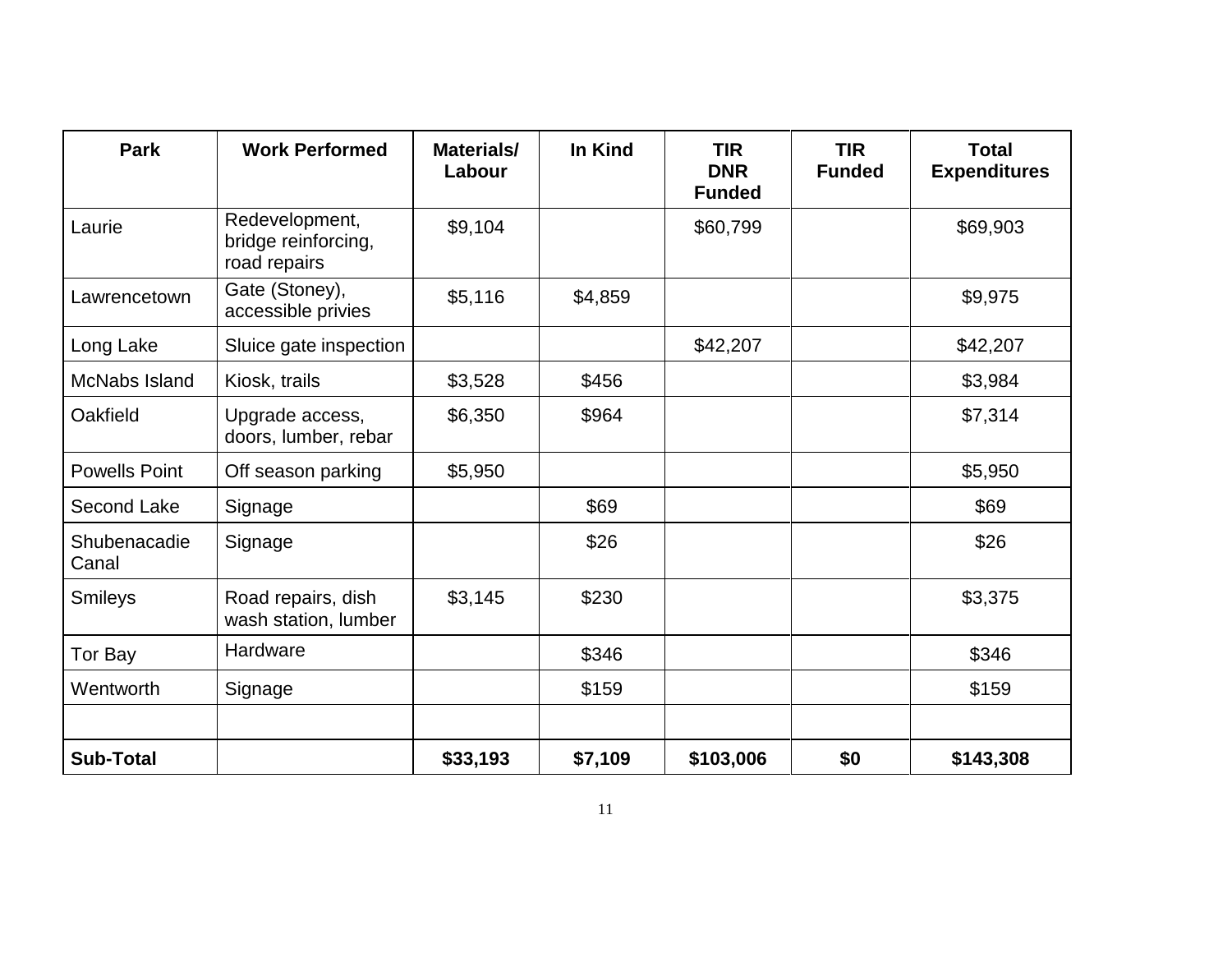| <b>Park</b>           | <b>Work Performed</b>                                 | Materials/<br>Labour | In Kind | <b>TIR</b><br><b>DNR</b><br><b>Funded</b> | <b>TIR</b><br><b>Funded</b> | <b>Total</b><br><b>Expenditures</b> |
|-----------------------|-------------------------------------------------------|----------------------|---------|-------------------------------------------|-----------------------------|-------------------------------------|
| Laurie                | Redevelopment,<br>bridge reinforcing,<br>road repairs | \$9,104              |         | \$60,799                                  |                             | \$69,903                            |
| Lawrencetown          | Gate (Stoney),<br>accessible privies                  | \$5,116              | \$4,859 |                                           |                             | \$9,975                             |
| Long Lake             | Sluice gate inspection                                |                      |         | \$42,207                                  |                             | \$42,207                            |
| McNabs Island         | Kiosk, trails                                         | \$3,528              | \$456   |                                           |                             | \$3,984                             |
| Oakfield              | Upgrade access,<br>doors, lumber, rebar               | \$6,350              | \$964   |                                           |                             | \$7,314                             |
| <b>Powells Point</b>  | Off season parking                                    | \$5,950              |         |                                           |                             | \$5,950                             |
| Second Lake           | Signage                                               |                      | \$69    |                                           |                             | \$69                                |
| Shubenacadie<br>Canal | Signage                                               |                      | \$26    |                                           |                             | \$26                                |
| <b>Smileys</b>        | Road repairs, dish<br>wash station, lumber            | \$3,145              | \$230   |                                           |                             | \$3,375                             |
| Tor Bay               | Hardware                                              |                      | \$346   |                                           |                             | \$346                               |
| Wentworth             | Signage                                               |                      | \$159   |                                           |                             | \$159                               |
| <b>Sub-Total</b>      |                                                       | \$33,193             | \$7,109 | \$103,006                                 | \$0                         | \$143,308                           |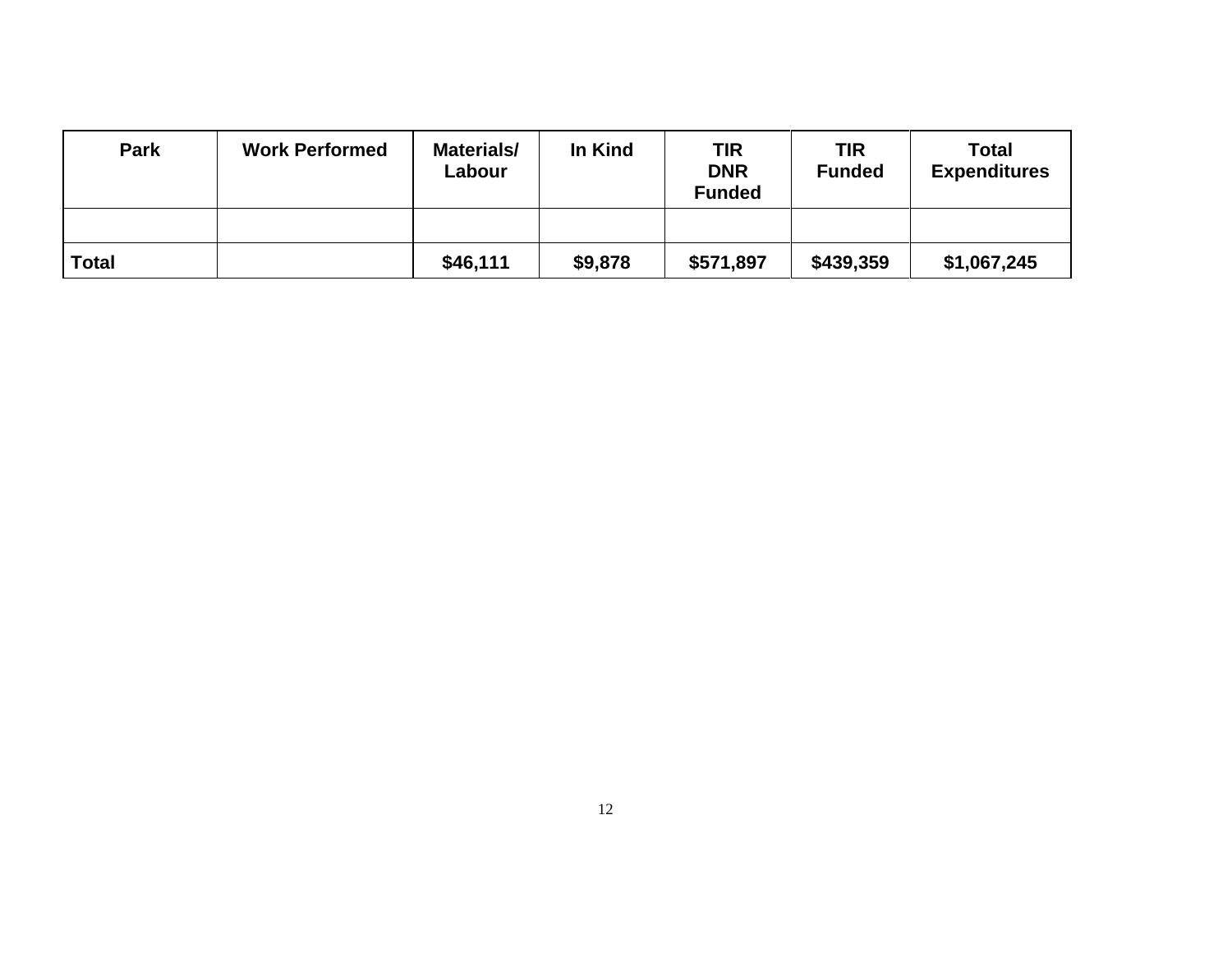| <b>Park</b> | <b>Work Performed</b> | Materials/<br>Labour | In Kind | TIR<br><b>DNR</b><br><b>Funded</b> | <b>TIR</b><br><b>Funded</b> | <b>Total</b><br><b>Expenditures</b> |
|-------------|-----------------------|----------------------|---------|------------------------------------|-----------------------------|-------------------------------------|
|             |                       |                      |         |                                    |                             |                                     |
| Total       |                       | \$46,111             | \$9,878 | \$571,897                          | \$439,359                   | \$1,067,245                         |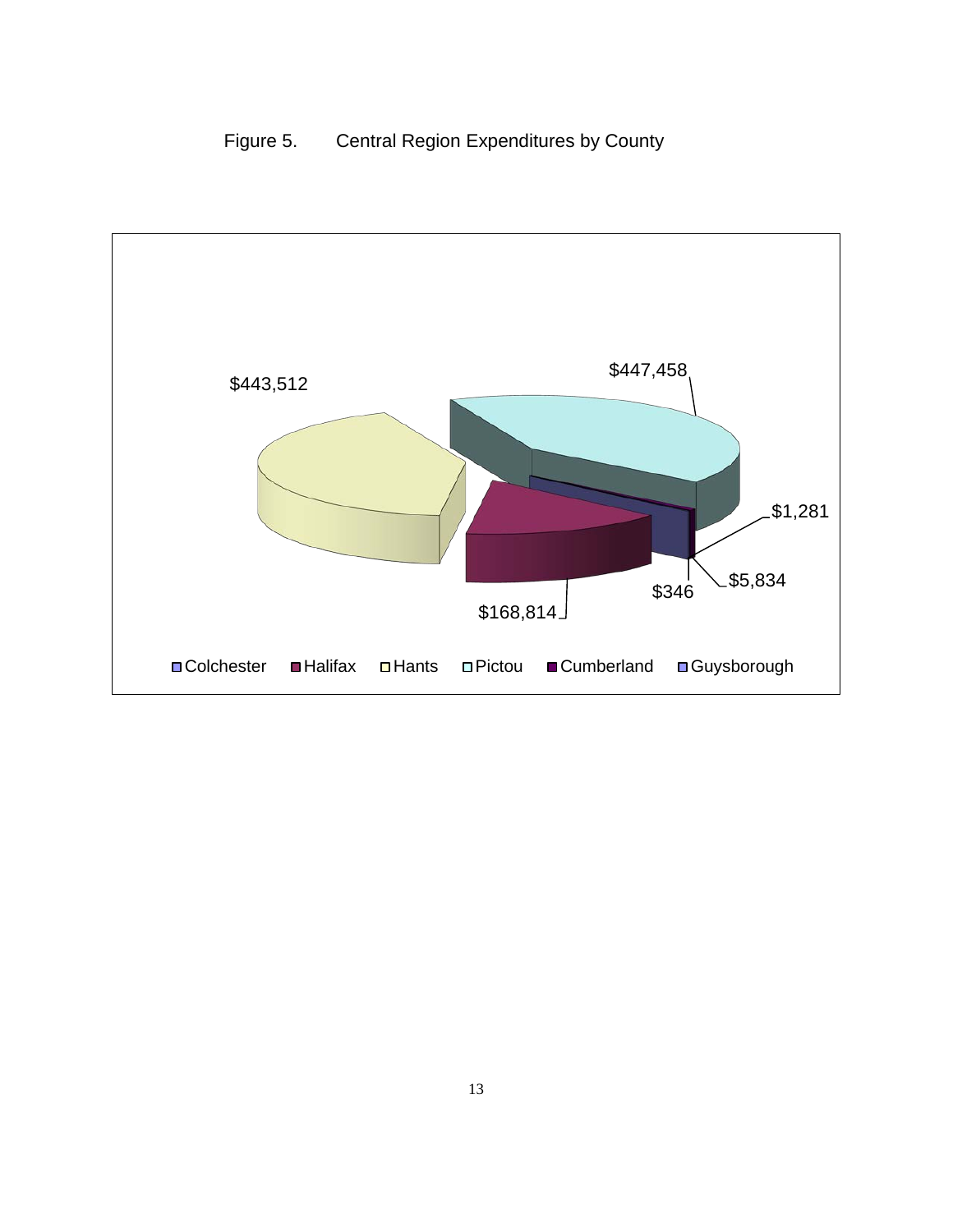# Figure 5. Central Region Expenditures by County

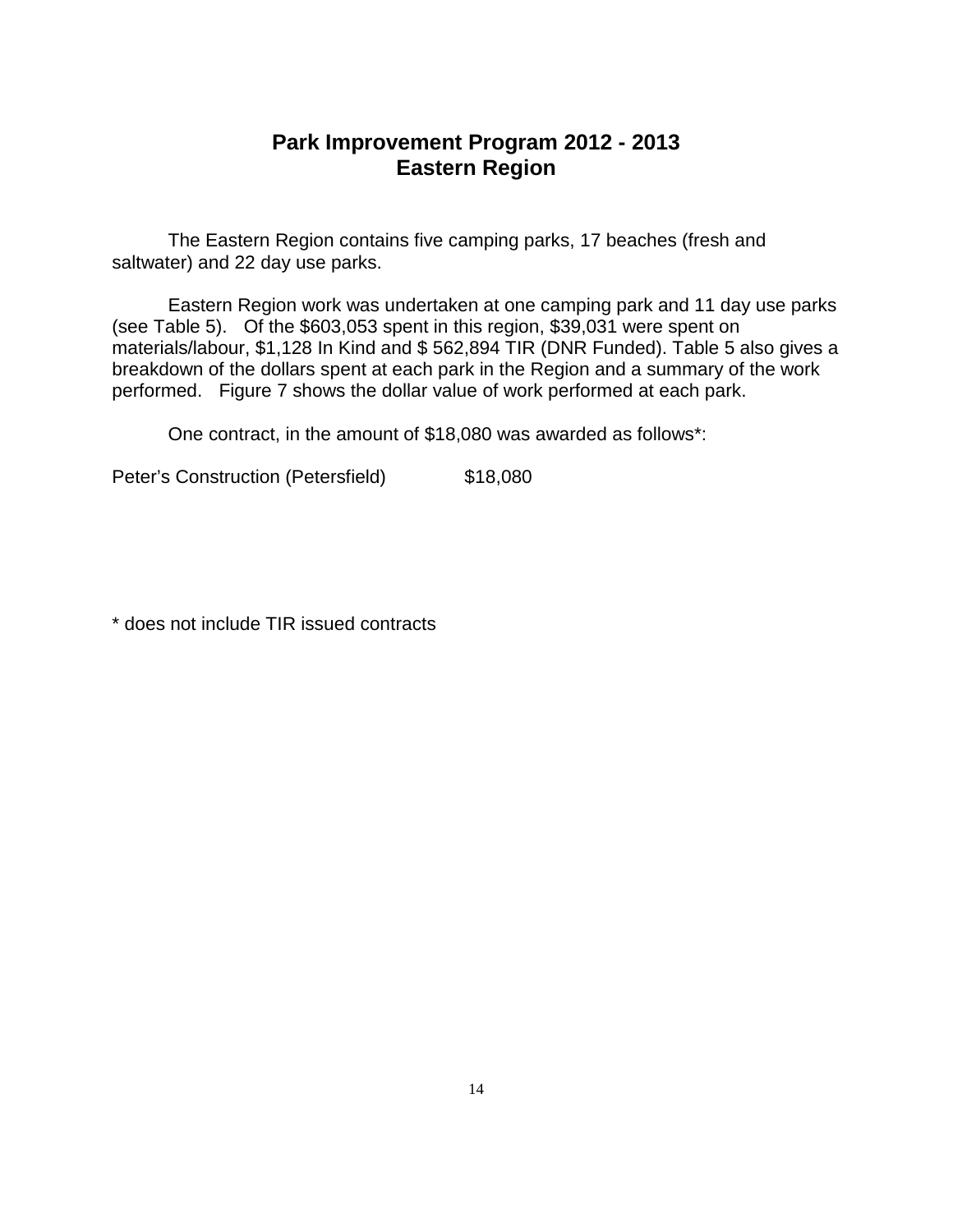### **Park Improvement Program 2012 - 2013 Eastern Region**

The Eastern Region contains five camping parks, 17 beaches (fresh and saltwater) and 22 day use parks.

Eastern Region work was undertaken at one camping park and 11 day use parks (see Table 5). Of the \$603,053 spent in this region, \$39,031 were spent on materials/labour, \$1,128 In Kind and \$ 562,894 TIR (DNR Funded). Table 5 also gives a breakdown of the dollars spent at each park in the Region and a summary of the work performed. Figure 7 shows the dollar value of work performed at each park.

One contract, in the amount of \$18,080 was awarded as follows\*:

Peter's Construction (Petersfield) \$18,080

\* does not include TIR issued contracts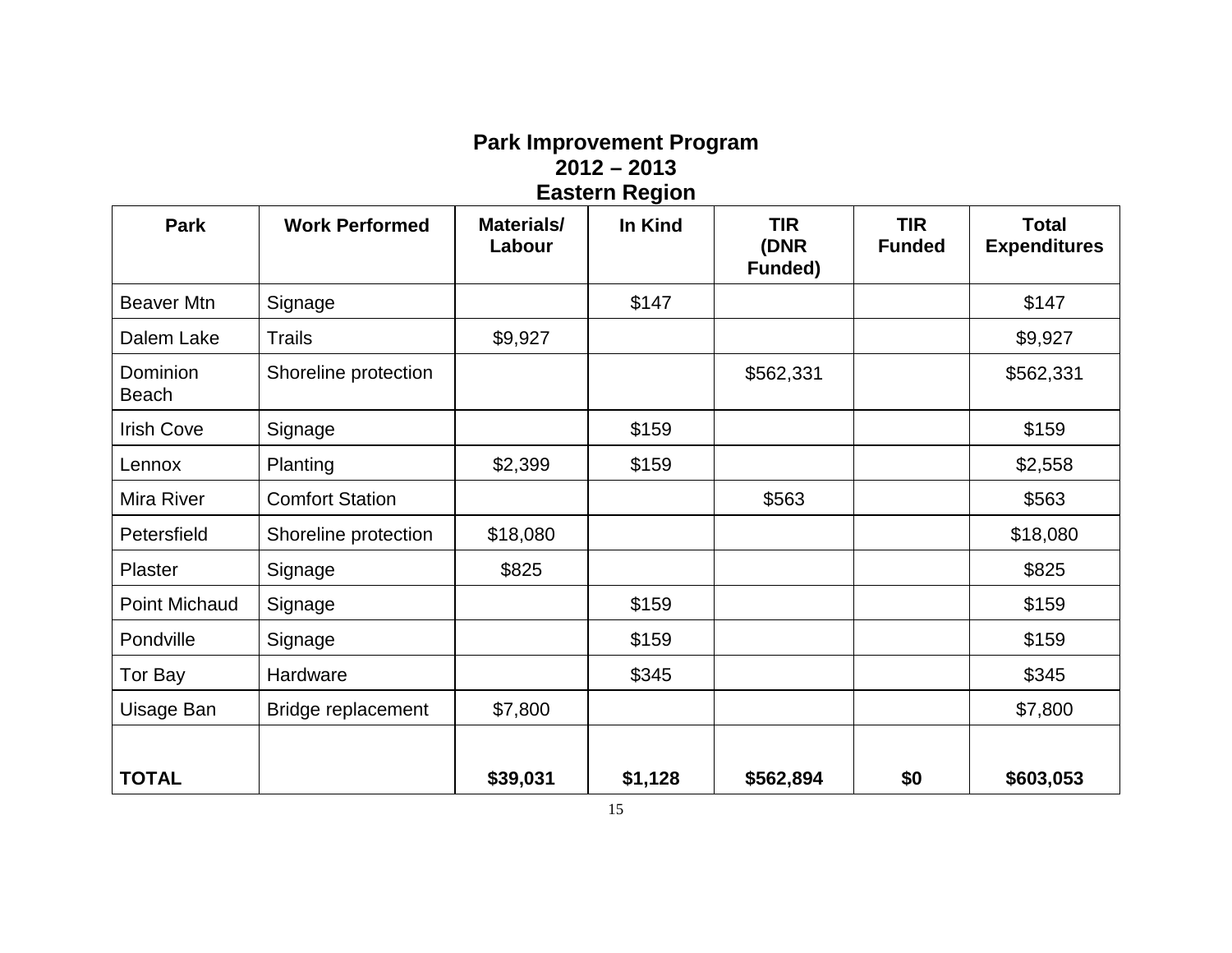## **Park Improvement Program 2012 – 2013 Eastern Region**

| Park                     | <b>Work Performed</b>  | Materials/<br>Labour | In Kind | <b>TIR</b><br>(DNR<br>Funded) | <b>TIR</b><br><b>Funded</b> | <b>Total</b><br><b>Expenditures</b> |
|--------------------------|------------------------|----------------------|---------|-------------------------------|-----------------------------|-------------------------------------|
| <b>Beaver Mtn</b>        | Signage                |                      | \$147   |                               |                             | \$147                               |
| Dalem Lake               | <b>Trails</b>          | \$9,927              |         |                               |                             | \$9,927                             |
| Dominion<br><b>Beach</b> | Shoreline protection   |                      |         | \$562,331                     |                             | \$562,331                           |
| <b>Irish Cove</b>        | Signage                |                      | \$159   |                               |                             | \$159                               |
| Lennox                   | Planting               | \$2,399              | \$159   |                               |                             | \$2,558                             |
| Mira River               | <b>Comfort Station</b> |                      |         | \$563                         |                             | \$563                               |
| Petersfield              | Shoreline protection   | \$18,080             |         |                               |                             | \$18,080                            |
| Plaster                  | Signage                | \$825                |         |                               |                             | \$825                               |
| Point Michaud            | Signage                |                      | \$159   |                               |                             | \$159                               |
| Pondville                | Signage                |                      | \$159   |                               |                             | \$159                               |
| Tor Bay                  | Hardware               |                      | \$345   |                               |                             | \$345                               |
| Uisage Ban               | Bridge replacement     | \$7,800              |         |                               |                             | \$7,800                             |
| <b>TOTAL</b>             |                        | \$39,031             | \$1,128 | \$562,894                     | \$0                         | \$603,053                           |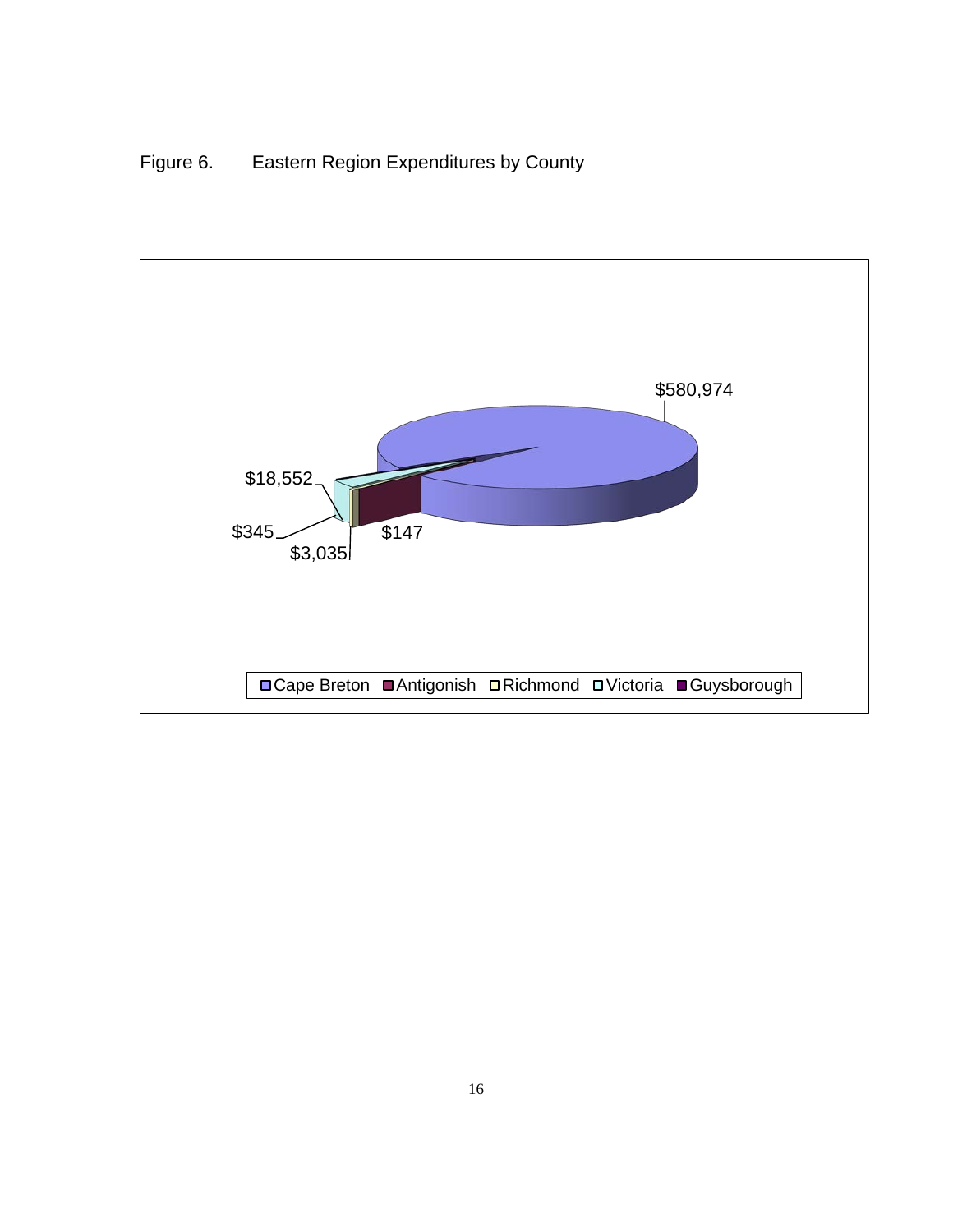# Figure 6. Eastern Region Expenditures by County

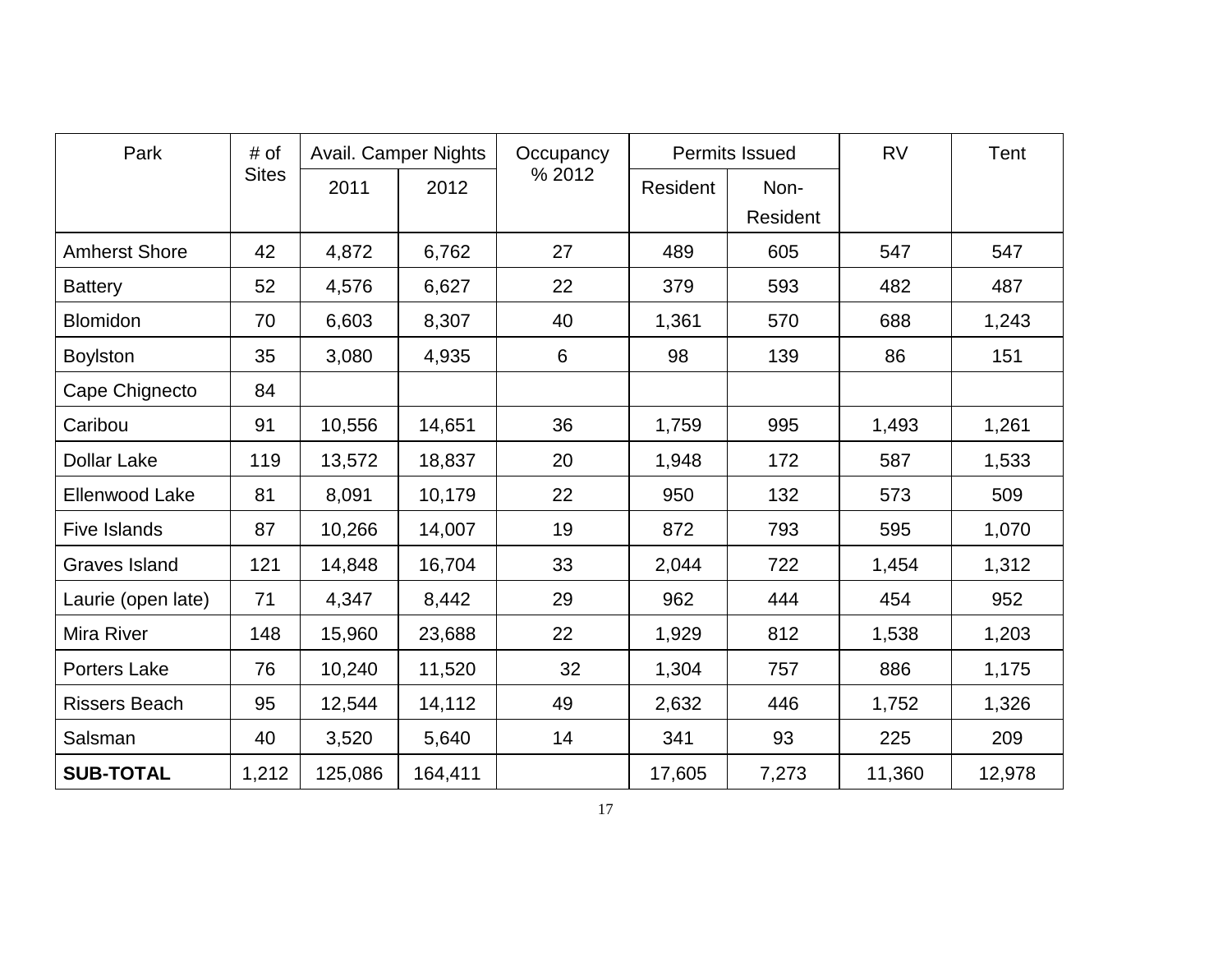| Park                 | # of         |         | <b>Avail. Camper Nights</b> | Occupancy |          | <b>Permits Issued</b> | <b>RV</b> | Tent   |
|----------------------|--------------|---------|-----------------------------|-----------|----------|-----------------------|-----------|--------|
|                      | <b>Sites</b> | 2011    | 2012                        | % 2012    | Resident | Non-                  |           |        |
|                      |              |         |                             |           |          | Resident              |           |        |
| <b>Amherst Shore</b> | 42           | 4,872   | 6,762                       | 27        | 489      | 605                   | 547       | 547    |
| <b>Battery</b>       | 52           | 4,576   | 6,627                       | 22        | 379      | 593                   | 482       | 487    |
| <b>Blomidon</b>      | 70           | 6,603   | 8,307                       | 40        | 1,361    | 570                   | 688       | 1,243  |
| <b>Boylston</b>      | 35           | 3,080   | 4,935                       | 6         | 98       | 139                   | 86        | 151    |
| Cape Chignecto       | 84           |         |                             |           |          |                       |           |        |
| Caribou              | 91           | 10,556  | 14,651                      | 36        | 1,759    | 995                   | 1,493     | 1,261  |
| <b>Dollar Lake</b>   | 119          | 13,572  | 18,837                      | 20        | 1,948    | 172                   | 587       | 1,533  |
| Ellenwood Lake       | 81           | 8,091   | 10,179                      | 22        | 950      | 132                   | 573       | 509    |
| <b>Five Islands</b>  | 87           | 10,266  | 14,007                      | 19        | 872      | 793                   | 595       | 1,070  |
| <b>Graves Island</b> | 121          | 14,848  | 16,704                      | 33        | 2,044    | 722                   | 1,454     | 1,312  |
| Laurie (open late)   | 71           | 4,347   | 8,442                       | 29        | 962      | 444                   | 454       | 952    |
| <b>Mira River</b>    | 148          | 15,960  | 23,688                      | 22        | 1,929    | 812                   | 1,538     | 1,203  |
| <b>Porters Lake</b>  | 76           | 10,240  | 11,520                      | 32        | 1,304    | 757                   | 886       | 1,175  |
| <b>Rissers Beach</b> | 95           | 12,544  | 14,112                      | 49        | 2,632    | 446                   | 1,752     | 1,326  |
| Salsman              | 40           | 3,520   | 5,640                       | 14        | 341      | 93                    | 225       | 209    |
| <b>SUB-TOTAL</b>     | 1,212        | 125,086 | 164,411                     |           | 17,605   | 7,273                 | 11,360    | 12,978 |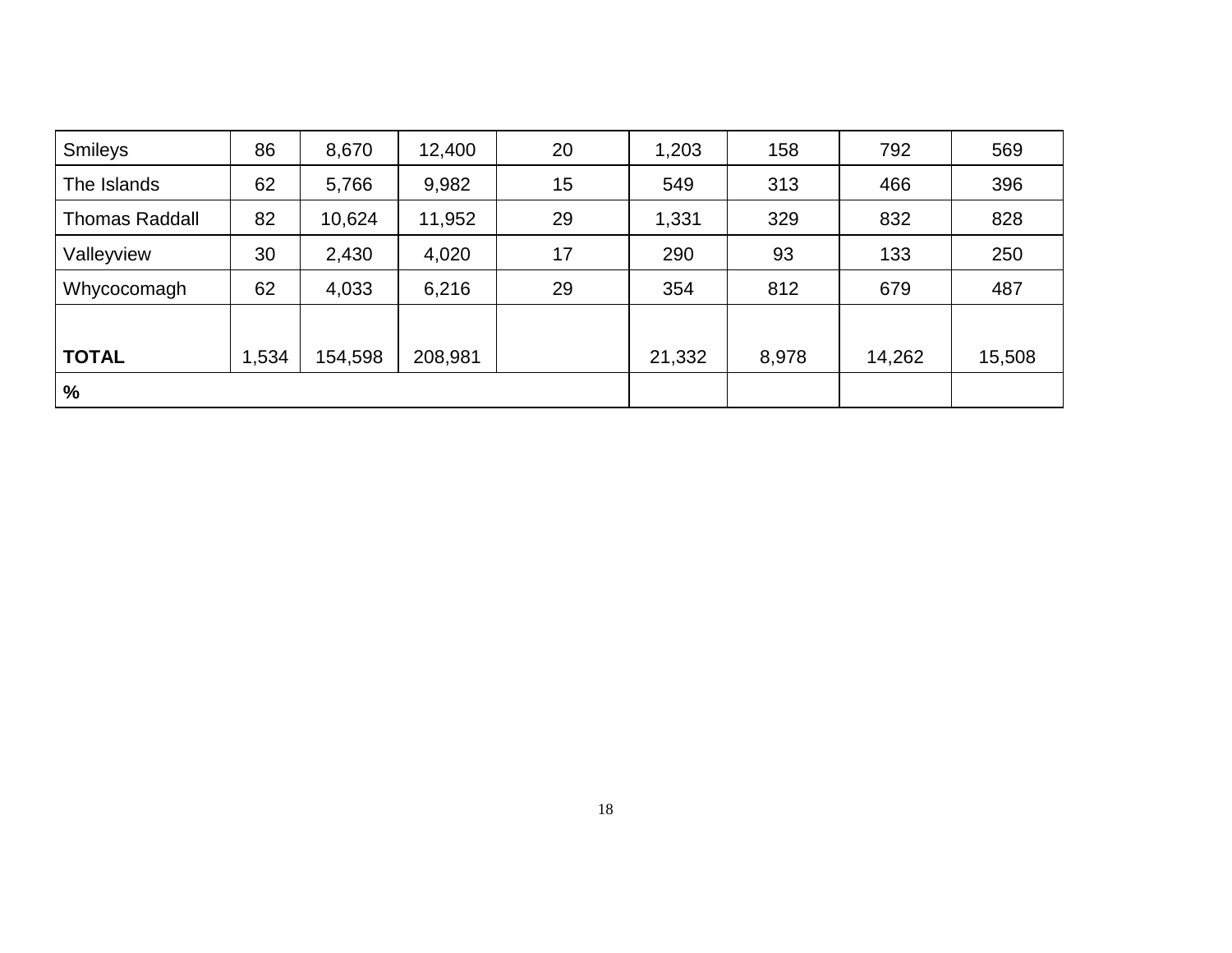| <b>Smileys</b>        | 86    | 8,670   | 12,400  | 20 | 1,203  | 158   | 792    | 569    |
|-----------------------|-------|---------|---------|----|--------|-------|--------|--------|
| The Islands           | 62    | 5,766   | 9,982   | 15 | 549    | 313   | 466    | 396    |
| <b>Thomas Raddall</b> | 82    | 10,624  | 11,952  | 29 | 1,331  | 329   | 832    | 828    |
| Valleyview            | 30    | 2,430   | 4,020   | 17 | 290    | 93    | 133    | 250    |
| Whycocomagh           | 62    | 4,033   | 6,216   | 29 | 354    | 812   | 679    | 487    |
|                       |       |         |         |    |        |       |        |        |
| <b>TOTAL</b>          | 1,534 | 154,598 | 208,981 |    | 21,332 | 8,978 | 14,262 | 15,508 |
| %                     |       |         |         |    |        |       |        |        |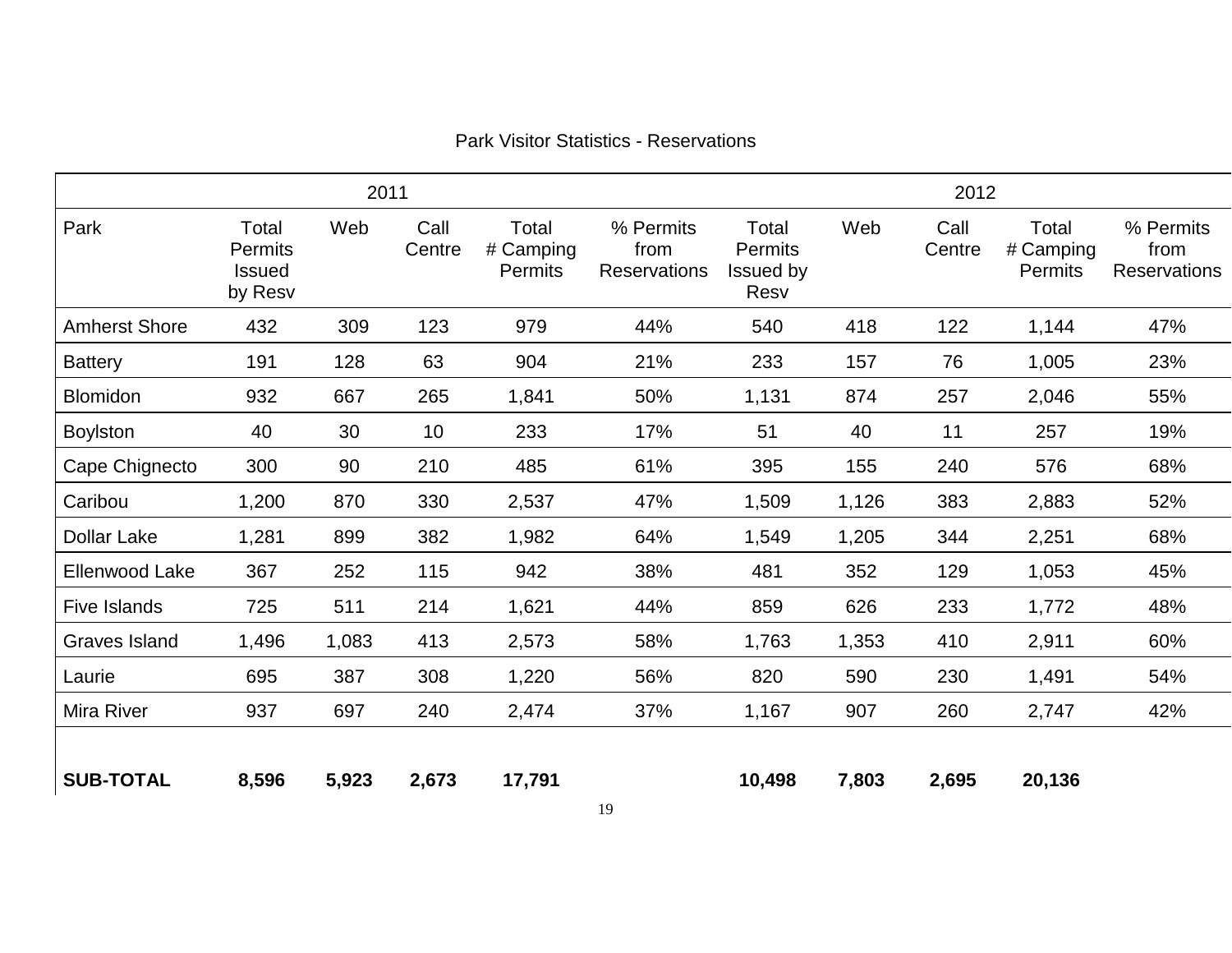| 2011                 |                                                     |       |                |                               |                                          |                                              | 2012  |                |                               |                                          |  |  |
|----------------------|-----------------------------------------------------|-------|----------------|-------------------------------|------------------------------------------|----------------------------------------------|-------|----------------|-------------------------------|------------------------------------------|--|--|
| Park                 | Total<br><b>Permits</b><br><b>Issued</b><br>by Resv | Web   | Call<br>Centre | Total<br># Camping<br>Permits | % Permits<br>from<br><b>Reservations</b> | Total<br><b>Permits</b><br>Issued by<br>Resv | Web   | Call<br>Centre | Total<br># Camping<br>Permits | % Permits<br>from<br><b>Reservations</b> |  |  |
| <b>Amherst Shore</b> | 432                                                 | 309   | 123            | 979                           | 44%                                      | 540                                          | 418   | 122            | 1,144                         | 47%                                      |  |  |
| <b>Battery</b>       | 191                                                 | 128   | 63             | 904                           | 21%                                      | 233                                          | 157   | 76             | 1,005                         | 23%                                      |  |  |
| <b>Blomidon</b>      | 932                                                 | 667   | 265            | 1,841                         | 50%                                      | 1,131                                        | 874   | 257            | 2,046                         | 55%                                      |  |  |
| <b>Boylston</b>      | 40                                                  | 30    | 10             | 233                           | 17%                                      | 51                                           | 40    | 11             | 257                           | 19%                                      |  |  |
| Cape Chignecto       | 300                                                 | 90    | 210            | 485                           | 61%                                      | 395                                          | 155   | 240            | 576                           | 68%                                      |  |  |
| Caribou              | 1,200                                               | 870   | 330            | 2,537                         | 47%                                      | 1,509                                        | 1,126 | 383            | 2,883                         | 52%                                      |  |  |
| <b>Dollar Lake</b>   | 1,281                                               | 899   | 382            | 1,982                         | 64%                                      | 1,549                                        | 1,205 | 344            | 2,251                         | 68%                                      |  |  |
| Ellenwood Lake       | 367                                                 | 252   | 115            | 942                           | 38%                                      | 481                                          | 352   | 129            | 1,053                         | 45%                                      |  |  |
| <b>Five Islands</b>  | 725                                                 | 511   | 214            | 1,621                         | 44%                                      | 859                                          | 626   | 233            | 1,772                         | 48%                                      |  |  |
| <b>Graves Island</b> | 1,496                                               | 1,083 | 413            | 2,573                         | 58%                                      | 1,763                                        | 1,353 | 410            | 2,911                         | 60%                                      |  |  |
| Laurie               | 695                                                 | 387   | 308            | 1,220                         | 56%                                      | 820                                          | 590   | 230            | 1,491                         | 54%                                      |  |  |
| Mira River           | 937                                                 | 697   | 240            | 2,474                         | 37%                                      | 1,167                                        | 907   | 260            | 2,747                         | 42%                                      |  |  |
| <b>SUB-TOTAL</b>     | 8,596                                               | 5,923 | 2,673          | 17,791                        |                                          | 10,498                                       | 7,803 | 2,695          | 20,136                        |                                          |  |  |

### Park Visitor Statistics - Reservations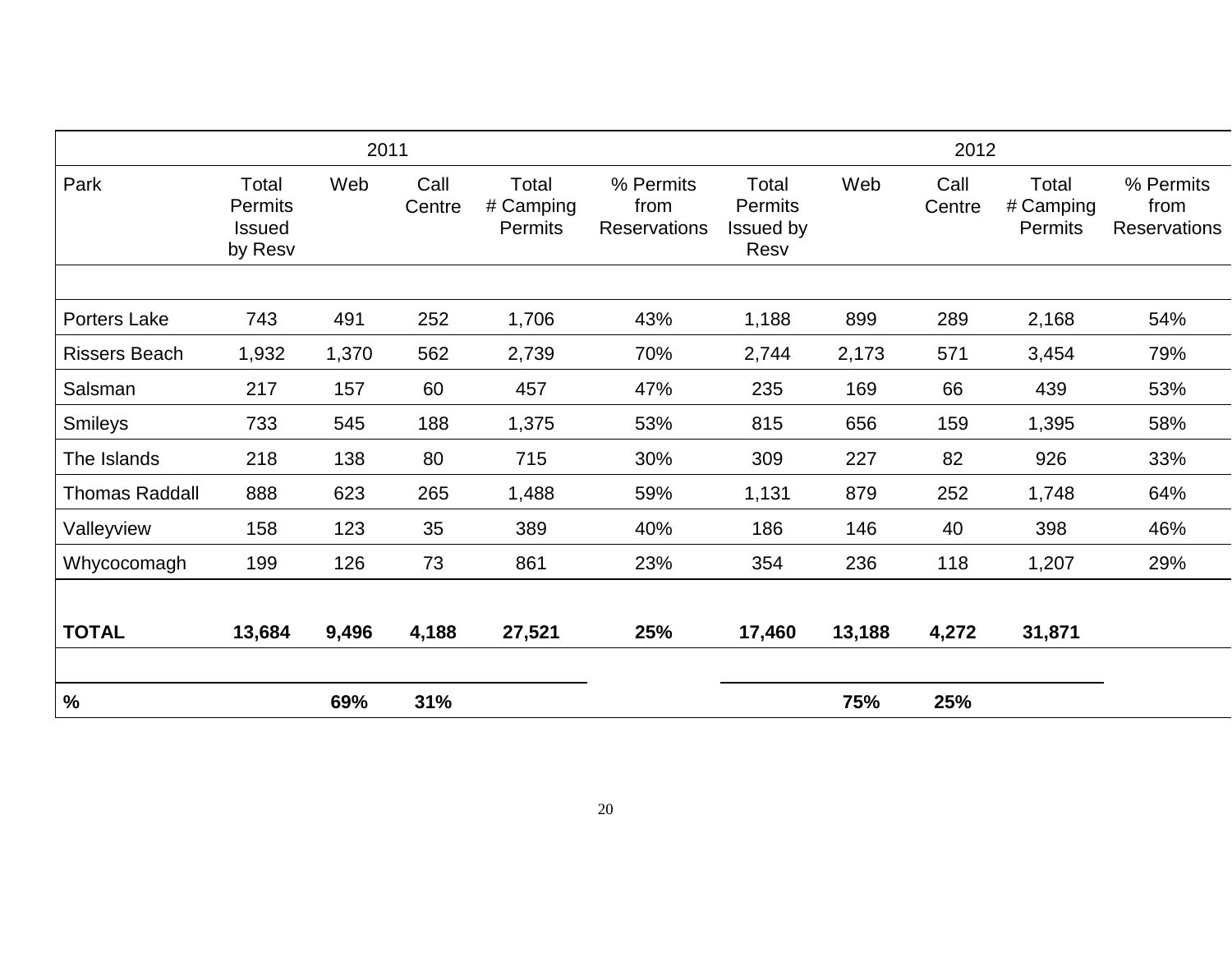| 2011                  |                                                     |       |                | 2012                                 |                                          |                                              |        |                |                               |                                          |
|-----------------------|-----------------------------------------------------|-------|----------------|--------------------------------------|------------------------------------------|----------------------------------------------|--------|----------------|-------------------------------|------------------------------------------|
| Park                  | Total<br><b>Permits</b><br><b>Issued</b><br>by Resv | Web   | Call<br>Centre | Total<br># Camping<br><b>Permits</b> | % Permits<br>from<br><b>Reservations</b> | Total<br><b>Permits</b><br>Issued by<br>Resv | Web    | Call<br>Centre | Total<br># Camping<br>Permits | % Permits<br>from<br><b>Reservations</b> |
|                       |                                                     |       |                |                                      |                                          |                                              |        |                |                               |                                          |
| Porters Lake          | 743                                                 | 491   | 252            | 1,706                                | 43%                                      | 1,188                                        | 899    | 289            | 2,168                         | 54%                                      |
| <b>Rissers Beach</b>  | 1,932                                               | 1,370 | 562            | 2,739                                | 70%                                      | 2,744                                        | 2,173  | 571            | 3,454                         | 79%                                      |
| Salsman               | 217                                                 | 157   | 60             | 457                                  | 47%                                      | 235                                          | 169    | 66             | 439                           | 53%                                      |
| <b>Smileys</b>        | 733                                                 | 545   | 188            | 1,375                                | 53%                                      | 815                                          | 656    | 159            | 1,395                         | 58%                                      |
| The Islands           | 218                                                 | 138   | 80             | 715                                  | 30%                                      | 309                                          | 227    | 82             | 926                           | 33%                                      |
| <b>Thomas Raddall</b> | 888                                                 | 623   | 265            | 1,488                                | 59%                                      | 1,131                                        | 879    | 252            | 1,748                         | 64%                                      |
| Valleyview            | 158                                                 | 123   | 35             | 389                                  | 40%                                      | 186                                          | 146    | 40             | 398                           | 46%                                      |
| Whycocomagh           | 199                                                 | 126   | 73             | 861                                  | 23%                                      | 354                                          | 236    | 118            | 1,207                         | 29%                                      |
| <b>TOTAL</b>          | 13,684                                              | 9,496 | 4,188          | 27,521                               | 25%                                      | 17,460                                       | 13,188 | 4,272          | 31,871                        |                                          |
| $\%$                  |                                                     | 69%   | 31%            |                                      |                                          |                                              | 75%    | 25%            |                               |                                          |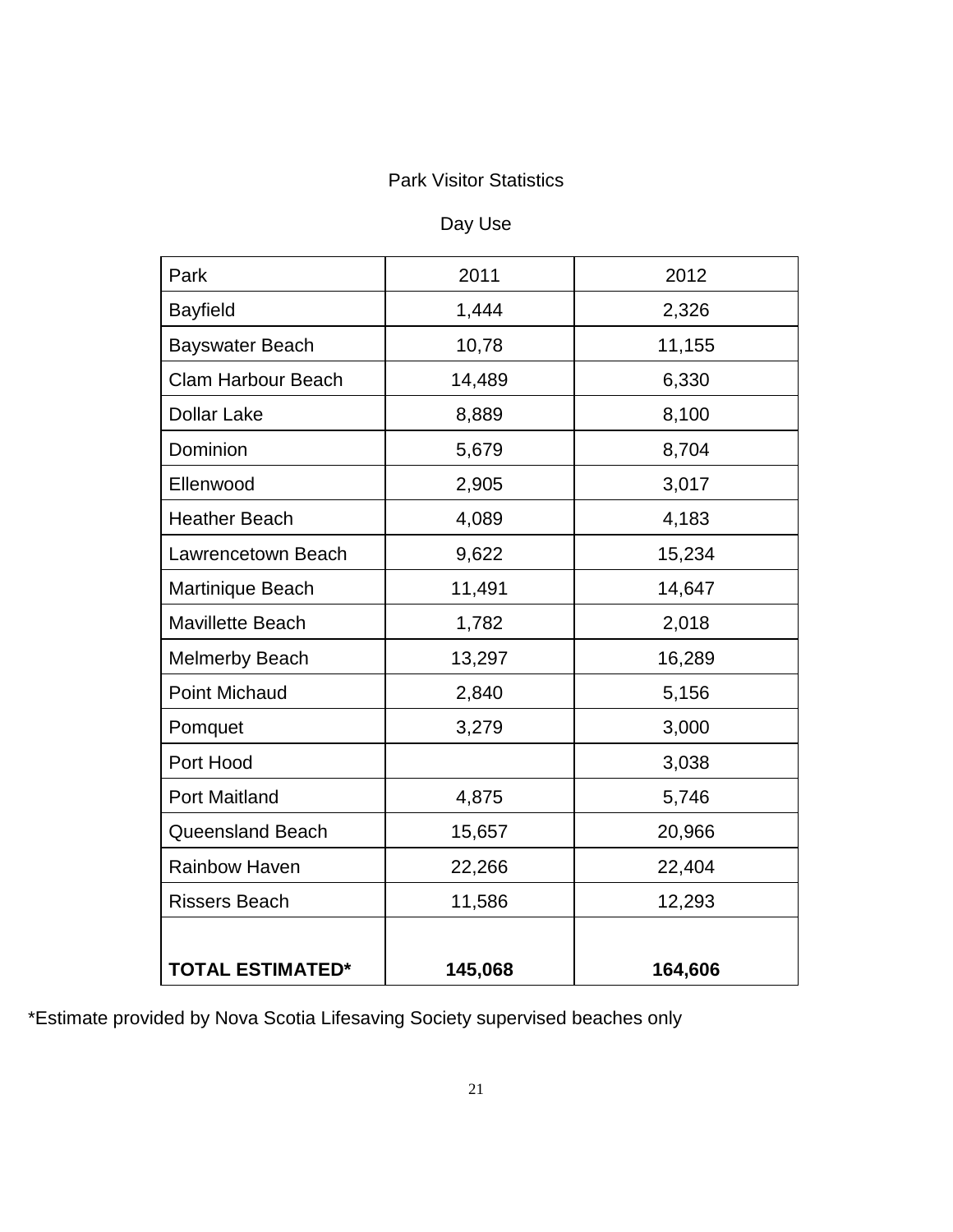### Park Visitor Statistics

# Day Use

| Park                      | 2011    | 2012    |  |
|---------------------------|---------|---------|--|
| <b>Bayfield</b>           | 1,444   | 2,326   |  |
| <b>Bayswater Beach</b>    | 10,78   | 11,155  |  |
| <b>Clam Harbour Beach</b> | 14,489  | 6,330   |  |
| <b>Dollar Lake</b>        | 8,889   | 8,100   |  |
| Dominion                  | 5,679   | 8,704   |  |
| Ellenwood                 | 2,905   | 3,017   |  |
| <b>Heather Beach</b>      | 4,089   | 4,183   |  |
| Lawrencetown Beach        | 9,622   | 15,234  |  |
| Martinique Beach          | 11,491  | 14,647  |  |
| <b>Mavillette Beach</b>   | 1,782   | 2,018   |  |
| <b>Melmerby Beach</b>     | 13,297  | 16,289  |  |
| <b>Point Michaud</b>      | 2,840   | 5,156   |  |
| Pomquet                   | 3,279   | 3,000   |  |
| Port Hood                 |         | 3,038   |  |
| Port Maitland             | 4,875   | 5,746   |  |
| <b>Queensland Beach</b>   | 15,657  | 20,966  |  |
| Rainbow Haven             | 22,266  | 22,404  |  |
| <b>Rissers Beach</b>      | 11,586  | 12,293  |  |
|                           |         |         |  |
| <b>TOTAL ESTIMATED*</b>   | 145,068 | 164,606 |  |

\*Estimate provided by Nova Scotia Lifesaving Society supervised beaches only